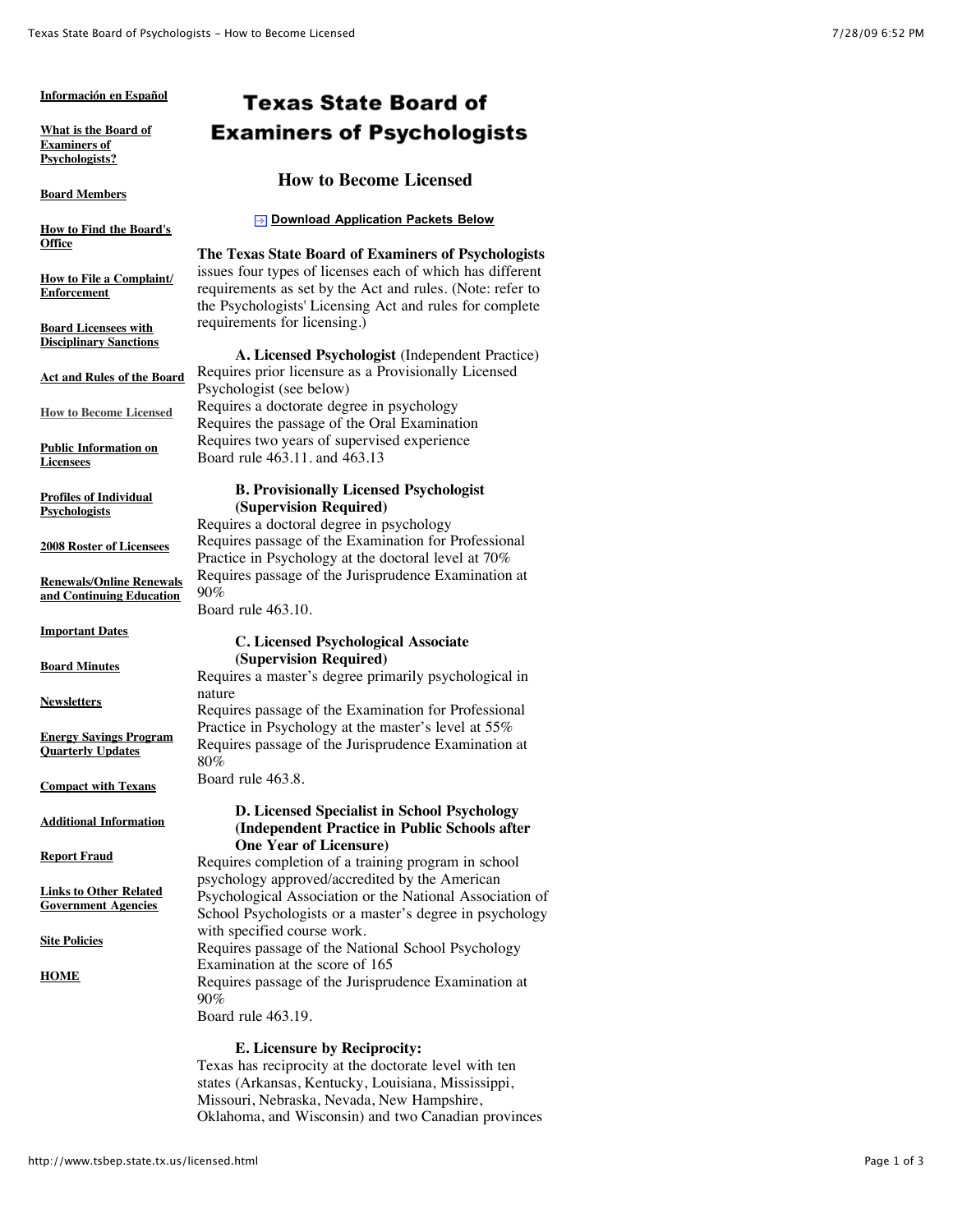#### **[Información en Español](http://www.tsbep.state.tx.us/espanol.html)**

**[What is the Board of](http://www.tsbep.state.tx.us/what.html) Examiners of Psychologists?**

**[Board Members](http://www.tsbep.state.tx.us/bd_mem.html)**

**[How to Find the Board's](http://www.tsbep.state.tx.us/find_us.html) Office**

**[How to File a Complaint/](http://www.tsbep.state.tx.us/complaint.html) Enforcement**

**Board Licensees with [Disciplinary Sanctions](http://www.tsbep.state.tx.us/disciplinary-sanctions.html)**

**[Act and Rules of the Board](http://www.tsbep.state.tx.us/rules.html)**

**[How to Become Licensed](http://www.tsbep.state.tx.us/licensed.html)**

**[Public Information on](http://www.tsbep.state.tx.us/lic_status.html) Licensees**

**[Profiles of Individual](http://www.tsbep.state.tx.us/profiles.html) Psychologists**

**[2008 Roster of Licensees](http://www.tsbep.state.tx.us/roster_2008.html)**

**[Renewals/Online Renewals](http://www.tsbep.state.tx.us/education.html) and Continuing Education**

**[Important Dates](http://www.tsbep.state.tx.us/dates.html)**

**[Board Minutes](http://www.tsbep.state.tx.us/minutes.html)**

**[Newsletters](http://www.tsbep.state.tx.us/newsletters.html)**

**[Energy Savings Program](http://www.tsbep.state.tx.us/energy-conservation.html) Quarterly Updates**

**[Compact with Texans](http://www.tsbep.state.tx.us/compact.html)**

**[Additional Information](http://www.tsbep.state.tx.us/add_info.html)**

**[Report Fraud](http://www.tsbep.state.tx.us/fraudreporting.html)**

**[Links to Other Related](http://www.tsbep.state.tx.us/links.html) Government Agencies**

**[Site Policies](http://www.tsbep.state.tx.us/sitePolicies.html)**

**[HOME](http://www.tsbep.state.tx.us/index.html)**

# **Texas State Board of Examiners of Psychologists**

## **How to Become Licensed**

#### **[Download Application Packets Below](http://www.tsbep.state.tx.us/licensed.html#apps)**

**The Texas State Board of Examiners of Psychologists** issues four types of licenses each of which has different requirements as set by the Act and rules. (Note: refer to the Psychologists' Licensing Act and rules for complete requirements for licensing.)

**A. Licensed Psychologist** (Independent Practice) Requires prior licensure as a Provisionally Licensed Psychologist (see below) Requires a doctorate degree in psychology Requires the passage of the Oral Examination Requires two years of supervised experience Board rule 463.11. and 463.13

#### **B. Provisionally Licensed Psychologist (Supervision Required)**

Requires a doctoral degree in psychology Requires passage of the Examination for Professional Practice in Psychology at the doctoral level at 70% Requires passage of the Jurisprudence Examination at 90%

Board rule 463.10.

## **C. Licensed Psychological Associate (Supervision Required)**

Requires a master's degree primarily psychological in nature Requires passage of the Examination for Professional Practice in Psychology at the master's level at 55%

Requires passage of the Jurisprudence Examination at 80%

Board rule 463.8.

### **D. Licensed Specialist in School Psychology (Independent Practice in Public Schools after One Year of Licensure)**

Requires completion of a training program in school psychology approved/accredited by the American Psychological Association or the National Association of School Psychologists or a master's degree in psychology with specified course work. Requires passage of the National School Psychology Examination at the score of 165 Requires passage of the Jurisprudence Examination at 90%

Board rule 463.19.

## **E. Licensure by Reciprocity:**

Texas has reciprocity at the doctorate level with ten states (Arkansas, Kentucky, Louisiana, Mississippi, Missouri, Nebraska, Nevada, New Hampshire, Oklahoma, and Wisconsin) and two Canadian provinces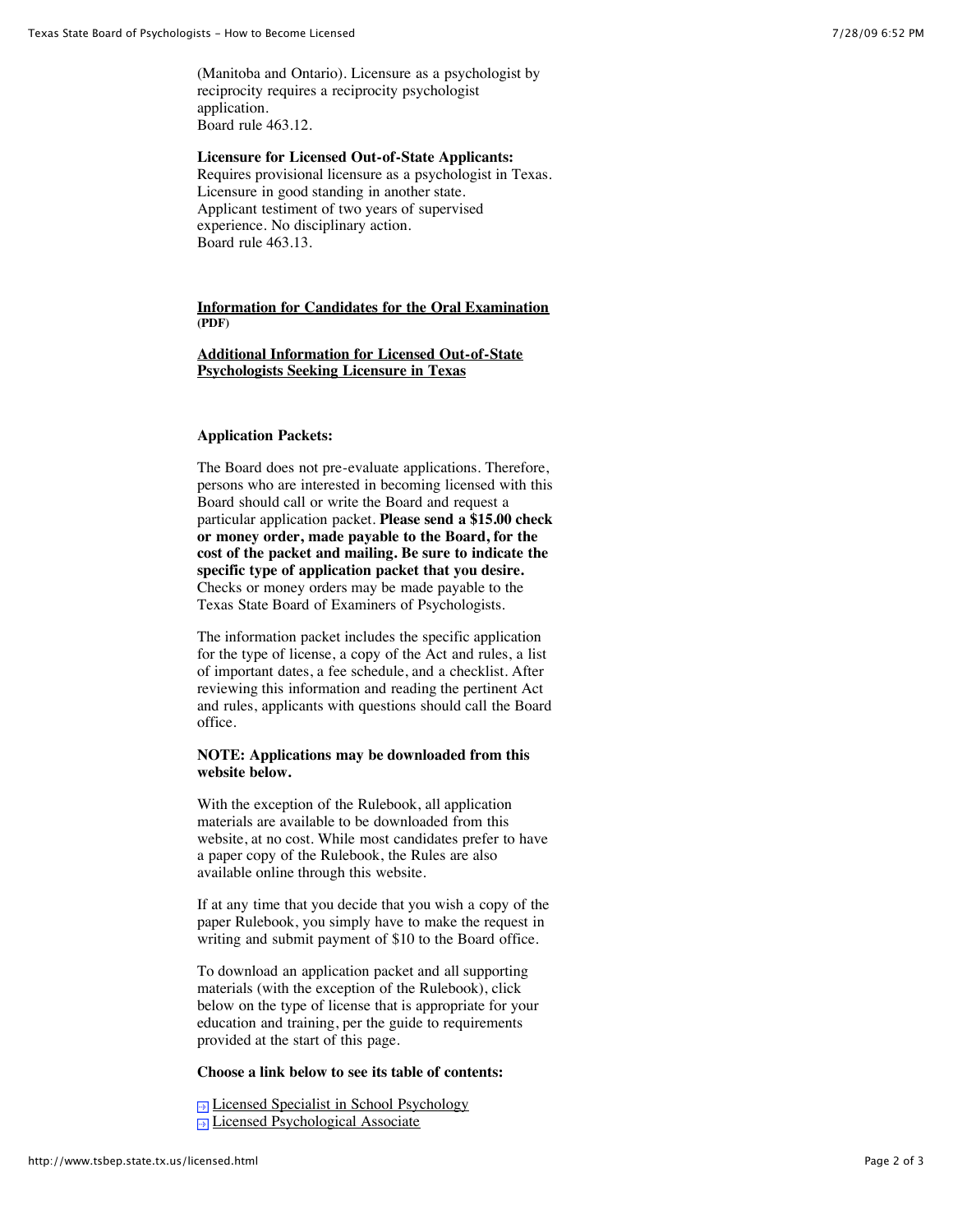(Manitoba and Ontario). Licensure as a psychologist by reciprocity requires a reciprocity psychologist application. Board rule 463.12.

**Licensure for Licensed Out-of-State Applicants:** Requires provisional licensure as a psychologist in Texas. Licensure in good standing in another state. Applicant testiment of two years of supervised experience. No disciplinary action. Board rule 463.13.

## **[Information for Candidates for the Oral Examination](http://www.tsbep.state.tx.us/documents/brochurenew.pdf) (PDF)**

## **[Additional Information for Licensed Out-of-State](http://www.tsbep.state.tx.us/additionalInfoOutOfState.html) Psychologists Seeking Licensure in Texas**

## **Application Packets:**

The Board does not pre-evaluate applications. Therefore, persons who are interested in becoming licensed with this Board should call or write the Board and request a particular application packet. **Please send a \$15.00 check or money order, made payable to the Board, for the cost of the packet and mailing. Be sure to indicate the specific type of application packet that you desire.** Checks or money orders may be made payable to the Texas State Board of Examiners of Psychologists.

The information packet includes the specific application for the type of license, a copy of the Act and rules, a list of important dates, a fee schedule, and a checklist. After reviewing this information and reading the pertinent Act and rules, applicants with questions should call the Board office.

### **NOTE: Applications may be downloaded from this website below.**

With the exception of the Rulebook, all application materials are available to be downloaded from this website, at no cost. While most candidates prefer to have a paper copy of the Rulebook, the Rules are also available online through this website.

If at any time that you decide that you wish a copy of the paper Rulebook, you simply have to make the request in writing and submit payment of \$10 to the Board office.

To download an application packet and all supporting materials (with the exception of the Rulebook), click below on the type of license that is appropriate for your education and training, per the guide to requirements provided at the start of this page.

#### **Choose a link below to see its table of contents:**

[Licensed Specialist in School Psychology](http://www.tsbep.state.tx.us/app-school-psychology.html) **[Licensed Psychological Associate](http://www.tsbep.state.tx.us/app-psychology-associate.html)**